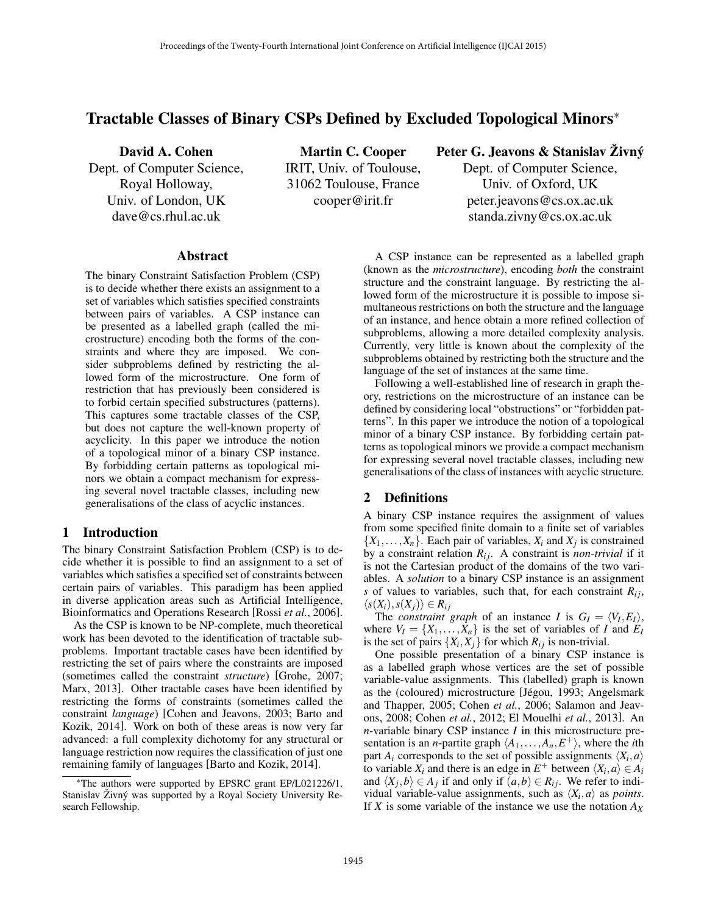# Tractable Classes of Binary CSPs Defined by Excluded Topological Minors<sup>∗</sup>

David A. Cohen Dept. of Computer Science, Royal Holloway, Univ. of London, UK dave@cs.rhul.ac.uk

Martin C. Cooper IRIT, Univ. of Toulouse, 31062 Toulouse, France cooper@irit.fr

Peter G. Jeavons & Stanislav Živný

Dept. of Computer Science, Univ. of Oxford, UK peter.jeavons@cs.ox.ac.uk standa.zivny@cs.ox.ac.uk

#### Abstract

The binary Constraint Satisfaction Problem (CSP) is to decide whether there exists an assignment to a set of variables which satisfies specified constraints between pairs of variables. A CSP instance can be presented as a labelled graph (called the microstructure) encoding both the forms of the constraints and where they are imposed. We consider subproblems defined by restricting the allowed form of the microstructure. One form of restriction that has previously been considered is to forbid certain specified substructures (patterns). This captures some tractable classes of the CSP, but does not capture the well-known property of acyclicity. In this paper we introduce the notion of a topological minor of a binary CSP instance. By forbidding certain patterns as topological minors we obtain a compact mechanism for expressing several novel tractable classes, including new generalisations of the class of acyclic instances.

### 1 Introduction

The binary Constraint Satisfaction Problem (CSP) is to decide whether it is possible to find an assignment to a set of variables which satisfies a specified set of constraints between certain pairs of variables. This paradigm has been applied in diverse application areas such as Artificial Intelligence, Bioinformatics and Operations Research [Rossi *et al.*, 2006].

As the CSP is known to be NP-complete, much theoretical work has been devoted to the identification of tractable subproblems. Important tractable cases have been identified by restricting the set of pairs where the constraints are imposed (sometimes called the constraint *structure*) [Grohe, 2007; Marx, 2013]. Other tractable cases have been identified by restricting the forms of constraints (sometimes called the constraint *language*) [Cohen and Jeavons, 2003; Barto and Kozik, 2014]. Work on both of these areas is now very far advanced: a full complexity dichotomy for any structural or language restriction now requires the classification of just one remaining family of languages [Barto and Kozik, 2014].

A CSP instance can be represented as a labelled graph (known as the *microstructure*), encoding *both* the constraint structure and the constraint language. By restricting the allowed form of the microstructure it is possible to impose simultaneous restrictions on both the structure and the language of an instance, and hence obtain a more refined collection of subproblems, allowing a more detailed complexity analysis. Currently, very little is known about the complexity of the subproblems obtained by restricting both the structure and the language of the set of instances at the same time.

Following a well-established line of research in graph theory, restrictions on the microstructure of an instance can be defined by considering local "obstructions" or "forbidden patterns". In this paper we introduce the notion of a topological minor of a binary CSP instance. By forbidding certain patterns as topological minors we provide a compact mechanism for expressing several novel tractable classes, including new generalisations of the class of instances with acyclic structure.

## 2 Definitions

A binary CSP instance requires the assignment of values from some specified finite domain to a finite set of variables  $\{X_1, \ldots, X_n\}$ . Each pair of variables,  $X_i$  and  $X_j$  is constrained by a constraint relation  $R_{ij}$ . A constraint is *non-trivial* if it is not the Cartesian product of the domains of the two variables. A *solution* to a binary CSP instance is an assignment *s* of values to variables, such that, for each constraint  $R_{ij}$ ,  $\langle s(X_i), s(X_j) \rangle \in R_{ij}$ 

The *constraint graph* of an instance *I* is  $G_I = \langle V_I, E_I \rangle$ , where  $V_I = \{X_1, \ldots, X_n\}$  is the set of variables of *I* and  $E_I$ is the set of pairs  $\{X_i, X_j\}$  for which  $R_{ij}$  is non-trivial.

One possible presentation of a binary CSP instance is as a labelled graph whose vertices are the set of possible variable-value assignments. This (labelled) graph is known as the (coloured) microstructure [Jégou, 1993; Angelsmark and Thapper, 2005; Cohen *et al.*, 2006; Salamon and Jeavons, 2008; Cohen *et al.*, 2012; El Mouelhi *et al.*, 2013]. An *n*-variable binary CSP instance *I* in this microstructure presentation is an *n*-partite graph  $\langle A_1, \ldots, A_n, E^+ \rangle$ , where the *i*th part  $A_i$  corresponds to the set of possible assignments  $\langle X_i, a \rangle$ to variable  $X_i$  and there is an edge in  $E^+$  between  $\langle X_i, a \rangle \in A_i$ and  $\langle X_j, b \rangle \in A_j$  if and only if  $(a, b) \in R_{ij}$ . We refer to individual variable-value assignments, such as  $\langle X_i, a \rangle$  as *points*. If *X* is some variable of the instance we use the notation *A<sup>X</sup>*

<sup>∗</sup>The authors were supported by EPSRC grant EP/L021226/1. Stanislav Živný was supported by a Royal Society University Research Fellowship.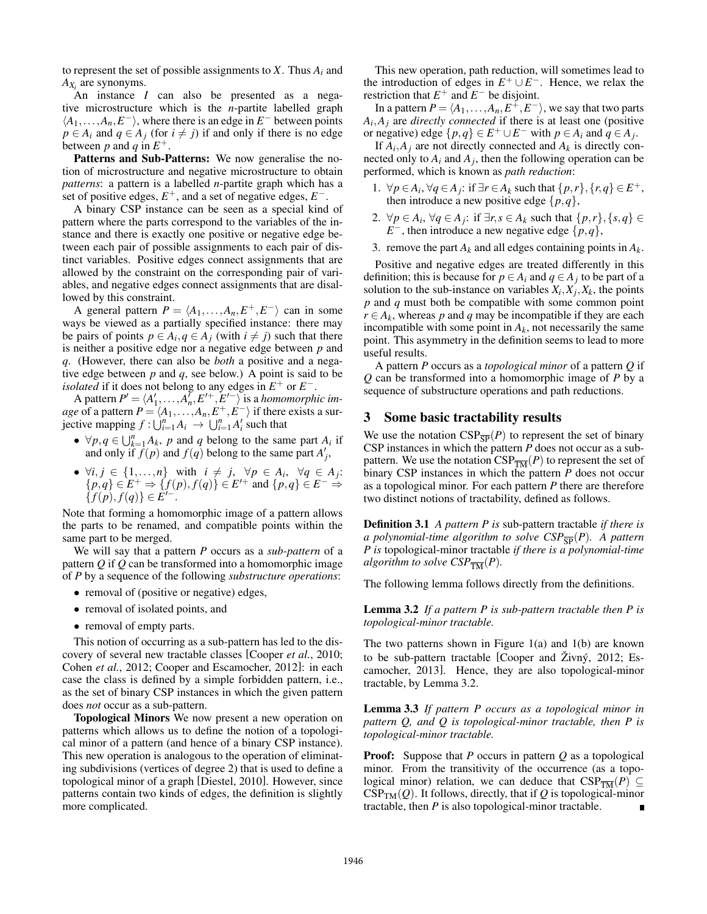to represent the set of possible assignments to  $X$ . Thus  $A_i$  and *AX<sup>i</sup>* are synonyms.

An instance *I* can also be presented as a negative microstructure which is the *n*-partite labelled graph  $\langle A_1, \ldots, A_n, E^- \rangle$ , where there is an edge in  $E^-$  between points  $p \in A_i$  and  $q \in A_j$  (for  $i \neq j$ ) if and only if there is no edge between *p* and *q* in  $E^+$ .

Patterns and Sub-Patterns: We now generalise the notion of microstructure and negative microstructure to obtain *patterns*: a pattern is a labelled *n*-partite graph which has a set of positive edges,  $E^+$ , and a set of negative edges,  $E^-$ .

A binary CSP instance can be seen as a special kind of pattern where the parts correspond to the variables of the instance and there is exactly one positive or negative edge between each pair of possible assignments to each pair of distinct variables. Positive edges connect assignments that are allowed by the constraint on the corresponding pair of variables, and negative edges connect assignments that are disallowed by this constraint.

A general pattern  $P = \langle A_1, \ldots, A_n, E^+, E^- \rangle$  can in some ways be viewed as a partially specified instance: there may be pairs of points  $p \in A_i$ ,  $q \in A_j$  (with  $i \neq j$ ) such that there is neither a positive edge nor a negative edge between *p* and *q*. (However, there can also be *both* a positive and a negative edge between *p* and *q*, see below.) A point is said to be *isolated* if it does not belong to any edges in  $E^+$  or  $E^-$ .

A pattern  $P' = \langle A'_1, \ldots, A'_n, E'^+, E'^- \rangle$  is a *homomorphic image* of a pattern  $P = \langle A_1, \ldots, A_n, E^+, E^- \rangle$  if there exists a surjective mapping  $f: \bigcup_{i=1}^{n} A_i \rightarrow \bigcup_{i=1}^{n} A'_i$  such that

- $\forall p, q \in \bigcup_{k=1}^{n} A_k$ , *p* and *q* belong to the same part  $A_i$  if and only if  $f(p)$  and  $f(q)$  belong to the same part  $A'_j$ ,
- $\forall i, j \in \{1, \ldots, n\}$  with  $i \neq j$ ,  $\forall p \in A_i$ ,  $\forall q \in A_j$ : { $p, q$ } ∈  $E^+$   $\Rightarrow$  { $f(p), f(q)$ } ∈  $E'^+$  and { $p, q$ } ∈  $E^ \Rightarrow$  ${f(p), f(q)} ∈ E^{-1}$ .

Note that forming a homomorphic image of a pattern allows the parts to be renamed, and compatible points within the same part to be merged.

We will say that a pattern *P* occurs as a *sub-pattern* of a pattern *Q* if *Q* can be transformed into a homomorphic image of *P* by a sequence of the following *substructure operations*:

- removal of (positive or negative) edges,
- removal of isolated points, and
- removal of empty parts.

This notion of occurring as a sub-pattern has led to the discovery of several new tractable classes [Cooper *et al.*, 2010; Cohen *et al.*, 2012; Cooper and Escamocher, 2012]: in each case the class is defined by a simple forbidden pattern, i.e., as the set of binary CSP instances in which the given pattern does *not* occur as a sub-pattern.

Topological Minors We now present a new operation on patterns which allows us to define the notion of a topological minor of a pattern (and hence of a binary CSP instance). This new operation is analogous to the operation of eliminating subdivisions (vertices of degree 2) that is used to define a topological minor of a graph [Diestel, 2010]. However, since patterns contain two kinds of edges, the definition is slightly more complicated.

This new operation, path reduction, will sometimes lead to the introduction of edges in  $E^+ \cup E^-$ . Hence, we relax the restriction that  $E^+$  and  $E^-$  be disjoint.

In a pattern  $P = \langle A_1, \ldots, A_n, E^{\pm}, E^- \rangle$ , we say that two parts  $A_i$ ,  $A_j$  are *directly connected* if there is at least one (positive or negative) edge  $\{p,q\} \in E^+ \cup E^-$  with  $p \in A_i$  and  $q \in A_j$ .

If  $A_i$ ,  $A_j$  are not directly connected and  $A_k$  is directly connected only to  $A_i$  and  $A_j$ , then the following operation can be performed, which is known as *path reduction*:

- 1.  $\forall p \in A_i$ ,  $\forall q \in A_j$ : if  $\exists r \in A_k$  such that  $\{p, r\}$ ,  $\{r, q\} \in E^+$ , then introduce a new positive edge  $\{p,q\}$ ,
- 2.  $\forall p \in A_i$ ,  $\forall q \in A_j$ : if  $\exists r, s \in A_k$  such that  $\{p, r\}, \{s, q\} \in$  $E^-$ , then introduce a new negative edge  $\{p,q\}$ ,
- 3. remove the part  $A_k$  and all edges containing points in  $A_k$ .

Positive and negative edges are treated differently in this definition; this is because for  $p \in A_i$  and  $q \in A_j$  to be part of a solution to the sub-instance on variables  $X_i, X_j, X_k$ , the points *p* and *q* must both be compatible with some common point  $r \in A_k$ , whereas *p* and *q* may be incompatible if they are each incompatible with some point in  $A_k$ , not necessarily the same point. This asymmetry in the definition seems to lead to more useful results.

A pattern *P* occurs as a *topological minor* of a pattern *Q* if *Q* can be transformed into a homomorphic image of *P* by a sequence of substructure operations and path reductions.

#### 3 Some basic tractability results

We use the notation  $CSP_{\overline{SP}}(P)$  to represent the set of binary CSP instances in which the pattern *P* does not occur as a subpattern. We use the notation  $CSP_{\overline{TM}}(P)$  to represent the set of binary CSP instances in which the pattern *P* does not occur as a topological minor. For each pattern *P* there are therefore two distinct notions of tractability, defined as follows.

Definition 3.1 *A pattern P is* sub-pattern tractable *if there is a polynomial-time algorithm to solve*  $CSP_{\overline{SP}}(P)$ *. A pattern P is* topological-minor tractable *if there is a polynomial-time algorithm to solve*  $CSP_{\overline{TM}}(P)$ *.* 

The following lemma follows directly from the definitions.

Lemma 3.2 *If a pattern P is sub-pattern tractable then P is topological-minor tractable.*

The two patterns shown in Figure  $1(a)$  and  $1(b)$  are known to be sub-pattern tractable [Cooper and  $\overline{Z}$ ivn $\acute{v}$ , 2012; Escamocher, 2013]. Hence, they are also topological-minor tractable, by Lemma 3.2.

Lemma 3.3 *If pattern P occurs as a topological minor in pattern Q, and Q is topological-minor tractable, then P is topological-minor tractable.*

Proof: Suppose that *P* occurs in pattern *Q* as a topological minor. From the transitivity of the occurrence (as a topological minor) relation, we can deduce that  $CSP_{\overline{TM}}(P) \subseteq$  $CSP<sub>TM</sub>(Q)$ . It follows, directly, that if *Q* is topological-minor tractable, then *P* is also topological-minor tractable.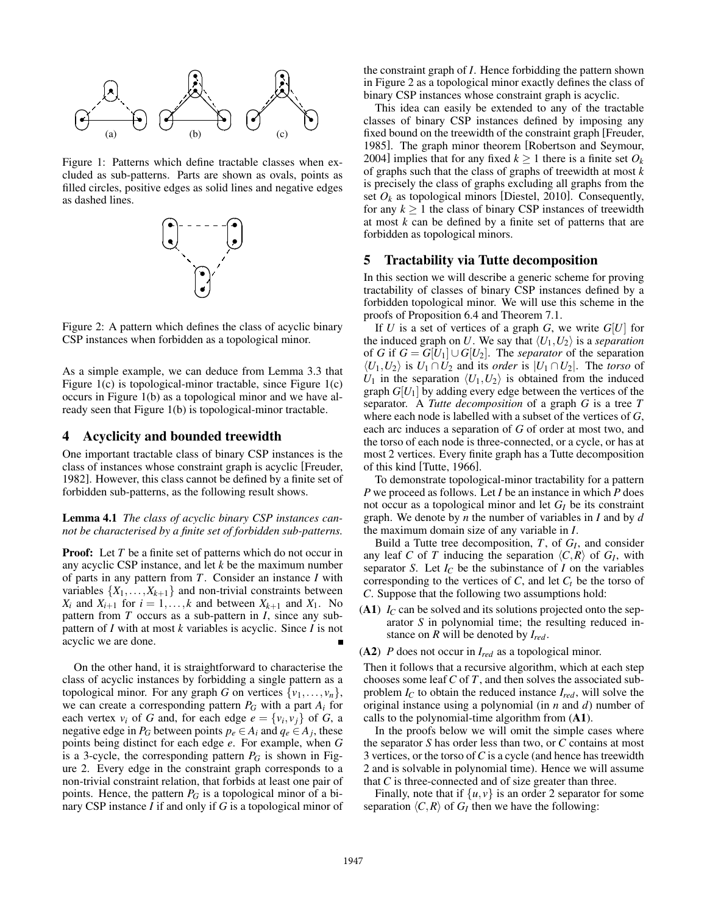

Figure 1: Patterns which define tractable classes when excluded as sub-patterns. Parts are shown as ovals, points as filled circles, positive edges as solid lines and negative edges as dashed lines.



Figure 2: A pattern which defines the class of acyclic binary CSP instances when forbidden as a topological minor.

As a simple example, we can deduce from Lemma 3.3 that Figure 1(c) is topological-minor tractable, since Figure 1(c) occurs in Figure 1(b) as a topological minor and we have already seen that Figure 1(b) is topological-minor tractable.

#### 4 Acyclicity and bounded treewidth

One important tractable class of binary CSP instances is the class of instances whose constraint graph is acyclic [Freuder, 1982]. However, this class cannot be defined by a finite set of forbidden sub-patterns, as the following result shows.

Lemma 4.1 *The class of acyclic binary CSP instances cannot be characterised by a finite set of forbidden sub-patterns.*

**Proof:** Let *T* be a finite set of patterns which do not occur in any acyclic CSP instance, and let *k* be the maximum number of parts in any pattern from *T*. Consider an instance *I* with variables  $\{X_1, \ldots, X_{k+1}\}\$  and non-trivial constraints between *X*<sup>*i*</sup> and *X*<sup>*i*+1</sub> for *i* = 1,...,*k* and between *X*<sub>*k*+1</sub> and *X*<sub>1</sub>. No</sup> pattern from *T* occurs as a sub-pattern in *I*, since any subpattern of *I* with at most *k* variables is acyclic. Since *I* is not acyclic we are done.

On the other hand, it is straightforward to characterise the class of acyclic instances by forbidding a single pattern as a topological minor. For any graph *G* on vertices  $\{v_1, \ldots, v_n\}$ , we can create a corresponding pattern  $P_G$  with a part  $A_i$  for each vertex  $v_i$  of *G* and, for each edge  $e = \{v_i, v_j\}$  of *G*, a negative edge in  $P_G$  between points  $p_e \in A_i$  and  $q_e \in A_j$ , these points being distinct for each edge *e*. For example, when *G* is a 3-cycle, the corresponding pattern  $P_G$  is shown in Figure 2. Every edge in the constraint graph corresponds to a non-trivial constraint relation, that forbids at least one pair of points. Hence, the pattern *P<sup>G</sup>* is a topological minor of a binary CSP instance *I* if and only if *G* is a topological minor of the constraint graph of *I*. Hence forbidding the pattern shown in Figure 2 as a topological minor exactly defines the class of binary CSP instances whose constraint graph is acyclic.

This idea can easily be extended to any of the tractable classes of binary CSP instances defined by imposing any fixed bound on the treewidth of the constraint graph [Freuder, 1985]. The graph minor theorem [Robertson and Seymour, 2004] implies that for any fixed  $k \ge 1$  there is a finite set  $O_k$ of graphs such that the class of graphs of treewidth at most *k* is precisely the class of graphs excluding all graphs from the set  $O_k$  as topological minors [Diestel, 2010]. Consequently, for any  $k \geq 1$  the class of binary CSP instances of treewidth at most *k* can be defined by a finite set of patterns that are forbidden as topological minors.

#### 5 Tractability via Tutte decomposition

In this section we will describe a generic scheme for proving tractability of classes of binary CSP instances defined by a forbidden topological minor. We will use this scheme in the proofs of Proposition 6.4 and Theorem 7.1.

If *U* is a set of vertices of a graph *G*, we write *G*[*U*] for the induced graph on *U*. We say that  $\langle U_1, U_2 \rangle$  is a *separation* of *G* if  $G = G[U_1] \cup G[U_2]$ . The *separator* of the separation  $\langle U_1, U_2 \rangle$  is *U*<sub>1</sub> ∩ *U*<sub>2</sub> and its *order* is  $|U_1 \cap U_2|$ . The *torso* of  $U_1$  in the separation  $\langle U_1, U_2 \rangle$  is obtained from the induced graph  $G[U_1]$  by adding every edge between the vertices of the separator. A *Tutte decomposition* of a graph *G* is a tree *T* where each node is labelled with a subset of the vertices of *G*, each arc induces a separation of *G* of order at most two, and the torso of each node is three-connected, or a cycle, or has at most 2 vertices. Every finite graph has a Tutte decomposition of this kind [Tutte, 1966].

To demonstrate topological-minor tractability for a pattern *P* we proceed as follows. Let *I* be an instance in which *P* does not occur as a topological minor and let *G<sup>I</sup>* be its constraint graph. We denote by *n* the number of variables in *I* and by *d* the maximum domain size of any variable in *I*.

Build a Tutte tree decomposition, *T*, of *G<sup>I</sup>* , and consider any leaf *C* of *T* inducing the separation  $\langle C, R \rangle$  of  $G_I$ , with separator *S*. Let  $I_C$  be the subinstance of *I* on the variables corresponding to the vertices of  $C$ , and let  $C_t$  be the torso of *C*. Suppose that the following two assumptions hold:

(A1)  $I_C$  can be solved and its solutions projected onto the separator *S* in polynomial time; the resulting reduced instance on *R* will be denoted by *Ired*.

(A2) *P* does not occur in *Ired* as a topological minor.

Then it follows that a recursive algorithm, which at each step chooses some leaf *C* of *T*, and then solves the associated subproblem  $I_C$  to obtain the reduced instance  $I_{red}$ , will solve the original instance using a polynomial (in *n* and *d*) number of calls to the polynomial-time algorithm from  $(A1)$ .

In the proofs below we will omit the simple cases where the separator *S* has order less than two, or *C* contains at most 3 vertices, or the torso of*C* is a cycle (and hence has treewidth 2 and is solvable in polynomial time). Hence we will assume that  $C$  is three-connected and of size greater than three.

Finally, note that if  $\{u, v\}$  is an order 2 separator for some separation  $\langle C, R \rangle$  of  $G_I$  then we have the following: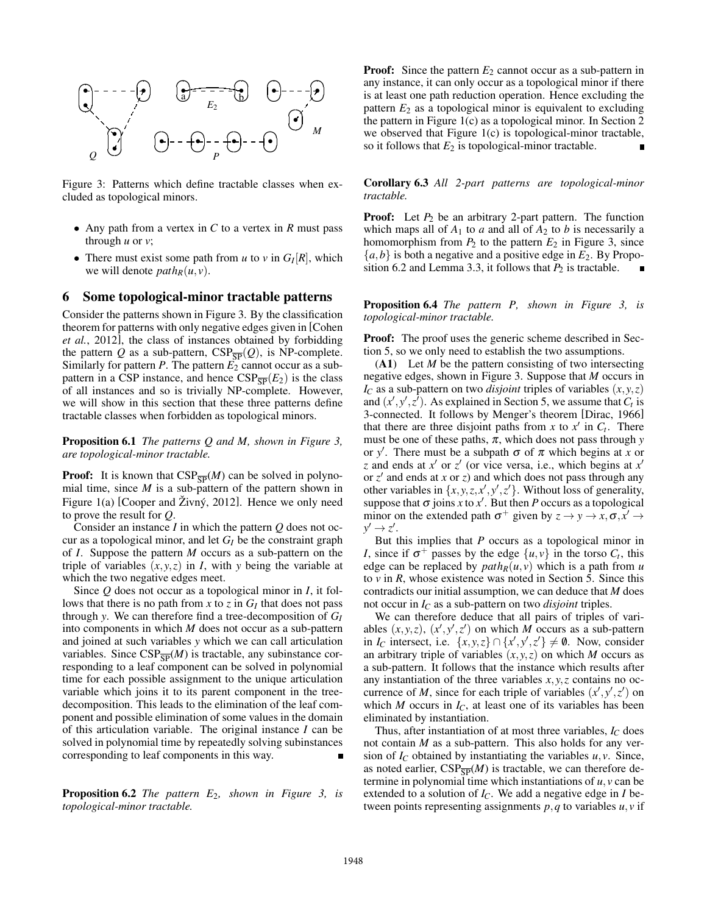

Figure 3: Patterns which define tractable classes when excluded as topological minors.

- Any path from a vertex in *C* to a vertex in *R* must pass through *u* or *v*;
- There must exist some path from  $u$  to  $v$  in  $G_I[R]$ , which we will denote  $path_R(u, v)$ .

#### 6 Some topological-minor tractable patterns

Consider the patterns shown in Figure 3. By the classification theorem for patterns with only negative edges given in [Cohen *et al.*, 2012], the class of instances obtained by forbidding the pattern *Q* as a sub-pattern,  $CSP_{\overline{SP}}(Q)$ , is NP-complete. Similarly for pattern  $P$ . The pattern  $E_2$  cannot occur as a subpattern in a CSP instance, and hence  $CSP_{\overline{SP}}(E_2)$  is the class of all instances and so is trivially NP-complete. However, we will show in this section that these three patterns define tractable classes when forbidden as topological minors.

Proposition 6.1 *The patterns Q and M, shown in Figure 3, are topological-minor tractable.*

**Proof:** It is known that  $CSP_{\overline{SP}}(M)$  can be solved in polynomial time, since *M* is a sub-pattern of the pattern shown in Figure 1(a) [Cooper and  $\overline{Z}$ ivný, 2012]. Hence we only need to prove the result for *Q*.

Consider an instance *I* in which the pattern *Q* does not occur as a topological minor, and let *G<sup>I</sup>* be the constraint graph of *I*. Suppose the pattern *M* occurs as a sub-pattern on the triple of variables  $(x, y, z)$  in *I*, with *y* being the variable at which the two negative edges meet.

Since *Q* does not occur as a topological minor in *I*, it follows that there is no path from  $x$  to  $z$  in  $G_I$  that does not pass through *y*. We can therefore find a tree-decomposition of *G<sup>I</sup>* into components in which *M* does not occur as a sub-pattern and joined at such variables *y* which we can call articulation variables. Since  $CSP_{\overline{SP}}(M)$  is tractable, any subinstance corresponding to a leaf component can be solved in polynomial time for each possible assignment to the unique articulation variable which joins it to its parent component in the treedecomposition. This leads to the elimination of the leaf component and possible elimination of some values in the domain of this articulation variable. The original instance *I* can be solved in polynomial time by repeatedly solving subinstances corresponding to leaf components in this way.

Proposition 6.2 *The pattern E*2*, shown in Figure 3, is topological-minor tractable.*

**Proof:** Since the pattern  $E_2$  cannot occur as a sub-pattern in any instance, it can only occur as a topological minor if there is at least one path reduction operation. Hence excluding the pattern  $E_2$  as a topological minor is equivalent to excluding the pattern in Figure 1(c) as a topological minor. In Section 2 we observed that Figure 1(c) is topological-minor tractable, so it follows that  $E_2$  is topological-minor tractable.

Corollary 6.3 *All 2-part patterns are topological-minor tractable.*

**Proof:** Let  $P_2$  be an arbitrary 2-part pattern. The function which maps all of  $A_1$  to *a* and all of  $A_2$  to *b* is necessarily a homomorphism from  $P_2$  to the pattern  $E_2$  in Figure 3, since  ${a,b}$  is both a negative and a positive edge in  $E_2$ . By Proposition 6.2 and Lemma 3.3, it follows that  $P_2$  is tractable.

Proposition 6.4 *The pattern P, shown in Figure 3, is topological-minor tractable.*

Proof: The proof uses the generic scheme described in Section 5, so we only need to establish the two assumptions.

(A1) Let *M* be the pattern consisting of two intersecting negative edges, shown in Figure 3. Suppose that *M* occurs in  $I_C$  as a sub-pattern on two *disjoint* triples of variables  $(x, y, z)$ and  $(x', y', z')$ . As explained in Section 5, we assume that  $C_t$  is 3-connected. It follows by Menger's theorem [Dirac, 1966] that there are three disjoint paths from *x* to  $x'$  in  $C_t$ . There must be one of these paths,  $\pi$ , which does not pass through *y* or *y'*. There must be a subpath  $\sigma$  of  $\pi$  which begins at *x* or *z* and ends at  $x'$  or  $z'$  (or vice versa, i.e., which begins at  $x'$ or  $z'$  and ends at *x* or  $z$ ) and which does not pass through any other variables in  $\{x, y, z, x', y', z'\}$ . Without loss of generality, suppose that  $\sigma$  joins *x* to *x*<sup> $\prime$ </sup>. But then *P* occurs as a topological minor on the extended path  $\sigma^+$  given by  $z \to y \to x, \sigma, x' \to$  $y' \rightarrow z'.$ 

But this implies that *P* occurs as a topological minor in *I*, since if  $\sigma^+$  passes by the edge  $\{u, v\}$  in the torso  $C_t$ , this edge can be replaced by  $path_R(u, v)$  which is a path from *u* to *v* in *R*, whose existence was noted in Section 5. Since this contradicts our initial assumption, we can deduce that *M* does not occur in *I<sup>C</sup>* as a sub-pattern on two *disjoint* triples.

We can therefore deduce that all pairs of triples of variables  $(x, y, z)$ ,  $(x', y', z')$  on which *M* occurs as a sub-pattern in *I<sub>C</sub>* intersect, i.e.  $\{x, y, z\} \cap \{x', y', z'\} \neq \emptyset$ . Now, consider an arbitrary triple of variables  $(x, y, z)$  on which *M* occurs as a sub-pattern. It follows that the instance which results after any instantiation of the three variables *x*, *y*,*z* contains no occurrence of *M*, since for each triple of variables  $(x', y', z')$  on which *M* occurs in  $I_C$ , at least one of its variables has been eliminated by instantiation.

Thus, after instantiation of at most three variables,  $I_C$  does not contain *M* as a sub-pattern. This also holds for any version of  $I_C$  obtained by instantiating the variables  $u, v$ . Since, as noted earlier,  $CSP_{\overline{SP}}(M)$  is tractable, we can therefore determine in polynomial time which instantiations of *u*,*v* can be extended to a solution of  $I_C$ . We add a negative edge in *I* between points representing assignments *p*,*q* to variables *u*, *v* if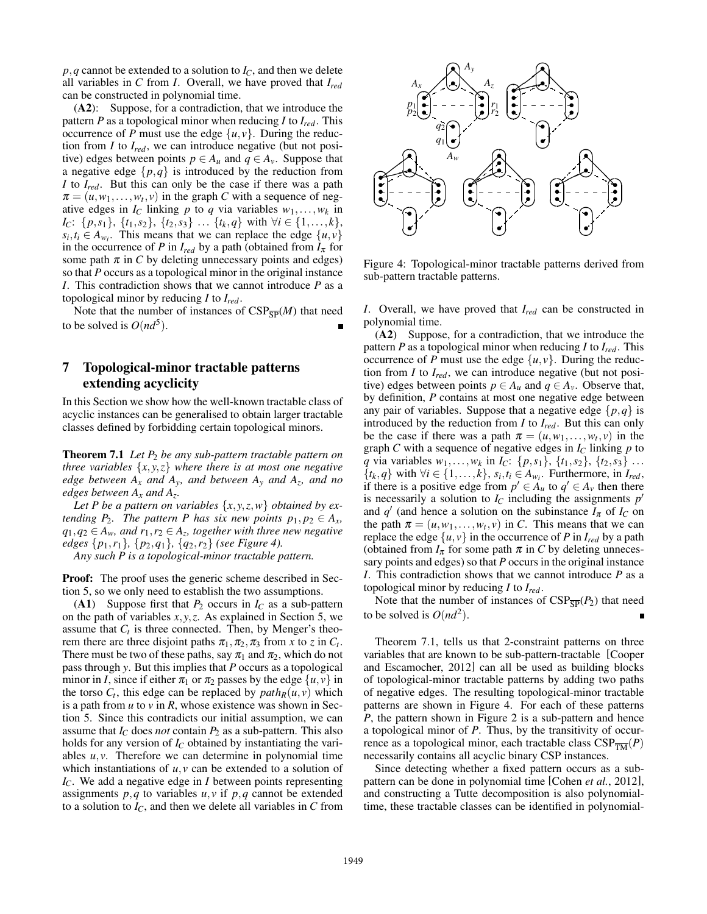$p$ ,*q* cannot be extended to a solution to  $I_C$ , and then we delete all variables in *C* from *I*. Overall, we have proved that *Ired* can be constructed in polynomial time.

(A2): Suppose, for a contradiction, that we introduce the pattern *P* as a topological minor when reducing *I* to *Ired*. This occurrence of *P* must use the edge  $\{u, v\}$ . During the reduction from *I* to *Ired*, we can introduce negative (but not positive) edges between points  $p \in A_u$  and  $q \in A_v$ . Suppose that a negative edge  $\{p,q\}$  is introduced by the reduction from *I* to *Ired*. But this can only be the case if there was a path  $\pi = (u, w_1, \dots, w_t, v)$  in the graph *C* with a sequence of negative edges in  $I_C$  linking  $p$  to  $q$  via variables  $w_1, \ldots, w_k$  in *I*<sub>*C*</sub>: {*p*,*s*<sub>1</sub>}, {*t*<sub>1</sub>,*s*<sub>2</sub>}, {*t*<sub>2</sub>,*s*<sub>3</sub>} ... {*t*<sub>*k*</sub>,*q*} with ∀*i* ∈ {1,...,*k*},  $s_i, t_i \in A_{w_i}$ . This means that we can replace the edge  $\{u, v\}$ in the occurrence of *P* in  $I_{red}$  by a path (obtained from  $I_{\pi}$  for some path  $\pi$  in *C* by deleting unnecessary points and edges) so that *P* occurs as a topological minor in the original instance *I*. This contradiction shows that we cannot introduce *P* as a topological minor by reducing *I* to *Ired*.

Note that the number of instances of  $CSP_{\overline{SP}}(M)$  that need to be solved is  $O(nd^5)$ .

## 7 Topological-minor tractable patterns extending acyclicity

In this Section we show how the well-known tractable class of acyclic instances can be generalised to obtain larger tractable classes defined by forbidding certain topological minors.

Theorem 7.1 *Let P*<sup>2</sup> *be any sub-pattern tractable pattern on three variables* {*x*, *y*,*z*} *where there is at most one negative edge between A<sup>x</sup> and Ay, and between A<sup>y</sup> and A<sup>z</sup> , and no edges between A<sup>x</sup> and A<sup>z</sup> .*

Let P be a pattern on variables  $\{x, y, z, w\}$  obtained by ex*tending*  $P_2$ *. The pattern P has six new points*  $p_1, p_2 \in A_x$ *,*  $q_1, q_2$  ∈  $A_w$ , and  $r_1, r_2$  ∈  $A_z$ , together with three new negative *edges* {*p*1,*r*1}*,* {*p*2,*q*1}*,* {*q*2,*r*2} *(see Figure 4).*

*Any such P is a topological-minor tractable pattern.*

Proof: The proof uses the generic scheme described in Section 5, so we only need to establish the two assumptions.

(A1) Suppose first that  $P_2$  occurs in  $I_C$  as a sub-pattern on the path of variables  $x, y, z$ . As explained in Section 5, we assume that  $C_t$  is three connected. Then, by Menger's theorem there are three disjoint paths  $\pi_1, \pi_2, \pi_3$  from *x* to *z* in  $C_t$ . There must be two of these paths, say  $\pi_1$  and  $\pi_2$ , which do not pass through *y*. But this implies that *P* occurs as a topological minor in *I*, since if either  $\pi_1$  or  $\pi_2$  passes by the edge  $\{u, v\}$  in the torso  $C_t$ , this edge can be replaced by  $path_R(u, v)$  which is a path from *u* to *v* in *R*, whose existence was shown in Section 5. Since this contradicts our initial assumption, we can assume that  $I_C$  does *not* contain  $P_2$  as a sub-pattern. This also holds for any version of  $I_C$  obtained by instantiating the variables  $u, v$ . Therefore we can determine in polynomial time which instantiations of  $u, v$  can be extended to a solution of *IC*. We add a negative edge in *I* between points representing assignments  $p, q$  to variables  $u, v$  if  $p, q$  cannot be extended to a solution to  $I_C$ , and then we delete all variables in  $C$  from



Figure 4: Topological-minor tractable patterns derived from sub-pattern tractable patterns.

*I*. Overall, we have proved that *Ired* can be constructed in polynomial time.

(A2) Suppose, for a contradiction, that we introduce the pattern *P* as a topological minor when reducing *I* to *Ired*. This occurrence of *P* must use the edge  $\{u, v\}$ . During the reduction from *I* to *Ired*, we can introduce negative (but not positive) edges between points  $p \in A_u$  and  $q \in A_v$ . Observe that, by definition, *P* contains at most one negative edge between any pair of variables. Suppose that a negative edge  $\{p,q\}$  is introduced by the reduction from *I* to *Ired*. But this can only be the case if there was a path  $\pi = (u, w_1, \dots, w_t, v)$  in the graph *C* with a sequence of negative edges in  $I_C$  linking  $p$  to *q* via variables  $w_1, \ldots, w_k$  in  $I_C$ :  $\{p, s_1\}$ ,  $\{t_1, s_2\}$ ,  $\{t_2, s_3\}$  ... { $t_k, q$ } with ∀*i* ∈ {1,..., $k$ },  $s_i, t_i$  ∈  $A_{w_i}$ . Furthermore, in  $I_{red}$ , if there is a positive edge from  $p' \in A_u$  to  $q' \in A_v$  then there is necessarily a solution to  $I_C$  including the assignments  $p'$ and *q*<sup>'</sup> (and hence a solution on the subinstance  $I_{\pi}$  of  $I_C$  on the path  $\pi = (u, w_1, \dots, w_t, v)$  in *C*. This means that we can replace the edge  $\{u, v\}$  in the occurrence of *P* in  $I_{red}$  by a path (obtained from  $I_{\pi}$  for some path  $\pi$  in C by deleting unnecessary points and edges) so that *P* occurs in the original instance *I*. This contradiction shows that we cannot introduce *P* as a topological minor by reducing *I* to *Ired*.

Note that the number of instances of  $CSP_{\overline{SP}}(P_2)$  that need to be solved is  $O(nd^2)$ .

Theorem 7.1, tells us that 2-constraint patterns on three variables that are known to be sub-pattern-tractable [Cooper and Escamocher, 2012] can all be used as building blocks of topological-minor tractable patterns by adding two paths of negative edges. The resulting topological-minor tractable patterns are shown in Figure 4. For each of these patterns *P*, the pattern shown in Figure 2 is a sub-pattern and hence a topological minor of *P*. Thus, by the transitivity of occurrence as a topological minor, each tractable class  $CSP_{\overline{TM}}(P)$ necessarily contains all acyclic binary CSP instances.

Since detecting whether a fixed pattern occurs as a subpattern can be done in polynomial time [Cohen *et al.*, 2012], and constructing a Tutte decomposition is also polynomialtime, these tractable classes can be identified in polynomial-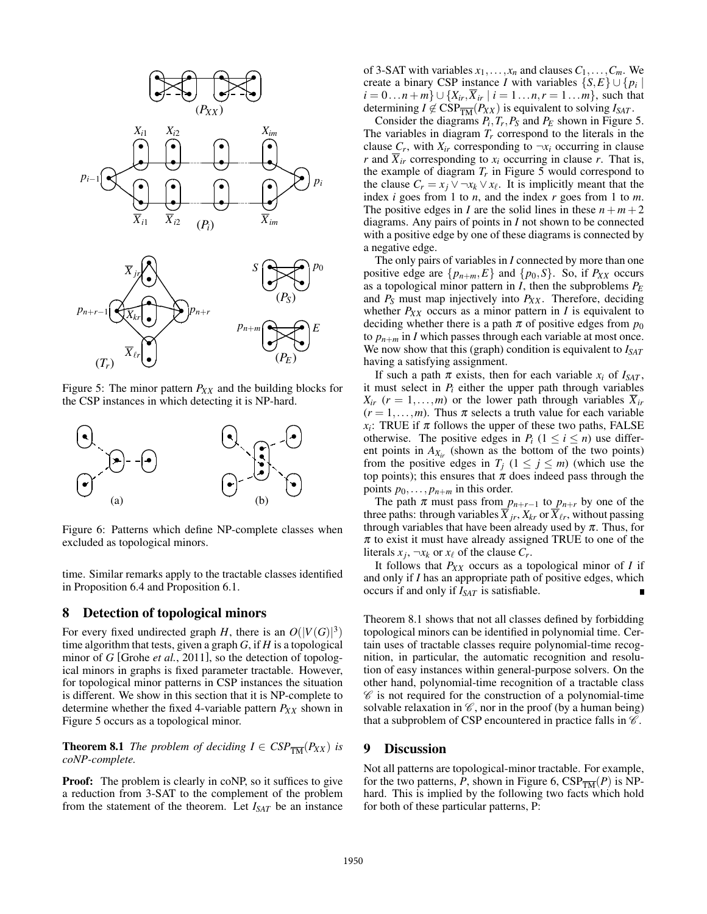

Figure 5: The minor pattern *PXX* and the building blocks for the CSP instances in which detecting it is NP-hard.



Figure 6: Patterns which define NP-complete classes when excluded as topological minors.

time. Similar remarks apply to the tractable classes identified in Proposition 6.4 and Proposition 6.1.

#### 8 Detection of topological minors

For every fixed undirected graph *H*, there is an  $O(|V(G)|^3)$ time algorithm that tests, given a graph *G*, if *H* is a topological minor of *G* [Grohe *et al.*, 2011], so the detection of topological minors in graphs is fixed parameter tractable. However, for topological minor patterns in CSP instances the situation is different. We show in this section that it is NP-complete to determine whether the fixed 4-variable pattern  $P_{XX}$  shown in Figure 5 occurs as a topological minor.

**Theorem 8.1** *The problem of deciding*  $I \in CSP_{\overline{TM}}(P_{XX})$  *is coNP-complete.*

Proof: The problem is clearly in coNP, so it suffices to give a reduction from 3-SAT to the complement of the problem from the statement of the theorem. Let *ISAT* be an instance of 3-SAT with variables  $x_1, \ldots, x_n$  and clauses  $C_1, \ldots, C_m$ . We create a binary CSP instance *I* with variables  $\{S, E\} \cup \{p_i |$ *i* = 0...*n* + *m*} ∪ { $X_{ir}, \overline{X}_{ir}$  | *i* = 1...*n*,*r* = 1...*m*}, such that determining  $I \notin \text{CSP}_{\overline{TM}}(P_{XX})$  is equivalent to solving  $I_{SAT}$ .

Consider the diagrams  $P_i$ ,  $T_r$ ,  $P_S$  and  $P_E$  shown in Figure 5. The variables in diagram  $T_r$  correspond to the literals in the clause  $C_r$ , with  $X_{ir}$  corresponding to  $\neg x_i$  occurring in clause *r* and  $\overline{X}_{ir}$  corresponding to  $x_i$  occurring in clause *r*. That is, the example of diagram  $T_r$  in Figure 5 would correspond to the clause  $C_r = x_j \vee \neg x_k \vee x_\ell$ . It is implicitly meant that the index *i* goes from 1 to *n*, and the index *r* goes from 1 to *m*. The positive edges in *I* are the solid lines in these  $n + m + 2$ diagrams. Any pairs of points in *I* not shown to be connected with a positive edge by one of these diagrams is connected by a negative edge.

The only pairs of variables in *I* connected by more than one positive edge are  $\{p_{n+m}, E\}$  and  $\{p_0, S\}$ . So, if  $P_{XX}$  occurs as a topological minor pattern in *I*, then the subproblems *P<sup>E</sup>* and  $P_S$  must map injectively into  $P_{XX}$ . Therefore, deciding whether  $P_{XX}$  occurs as a minor pattern in *I* is equivalent to deciding whether there is a path  $\pi$  of positive edges from  $p_0$ to  $p_{n+m}$  in *I* which passes through each variable at most once. We now show that this (graph) condition is equivalent to *ISAT* having a satisfying assignment.

If such a path  $\pi$  exists, then for each variable  $x_i$  of  $I_{SAT}$ , it must select in  $P_i$  either the upper path through variables  $X_{ir}$  ( $r = 1, \ldots, m$ ) or the lower path through variables  $\overline{X}_{ir}$  $(r = 1, \ldots, m)$ . Thus  $\pi$  selects a truth value for each variable  $x_i$ : TRUE if  $\pi$  follows the upper of these two paths, FALSE otherwise. The positive edges in  $P_i$  ( $1 \le i \le n$ ) use different points in  $A_{X_{ir}}$  (shown as the bottom of the two points) from the positive edges in  $T_j$  ( $1 \le j \le m$ ) (which use the top points); this ensures that  $\pi$  does indeed pass through the points  $p_0, \ldots, p_{n+m}$  in this order.

The path  $\pi$  must pass from  $p_{n+r-1}$  to  $p_{n+r}$  by one of the three paths: through variables  $\overline{X}_{jr}, X_{kr}$  or  $\overline{X}_{\ell r}$ , without passing through variables that have been already used by  $\pi$ . Thus, for  $\pi$  to exist it must have already assigned TRUE to one of the literals  $x_j$ ,  $\neg x_k$  or  $x_\ell$  of the clause  $C_r$ .

It follows that *PXX* occurs as a topological minor of *I* if and only if *I* has an appropriate path of positive edges, which occurs if and only if *ISAT* is satisfiable.

Theorem 8.1 shows that not all classes defined by forbidding topological minors can be identified in polynomial time. Certain uses of tractable classes require polynomial-time recognition, in particular, the automatic recognition and resolution of easy instances within general-purpose solvers. On the other hand, polynomial-time recognition of a tractable class  $\mathscr C$  is not required for the construction of a polynomial-time solvable relaxation in  $\mathscr{C}$ , nor in the proof (by a human being) that a subproblem of CSP encountered in practice falls in  $\mathscr C$ .

#### 9 Discussion

Not all patterns are topological-minor tractable. For example, for the two patterns, *P*, shown in Figure 6,  $CSP_{\overline{TM}}(P)$  is NPhard. This is implied by the following two facts which hold for both of these particular patterns, P: